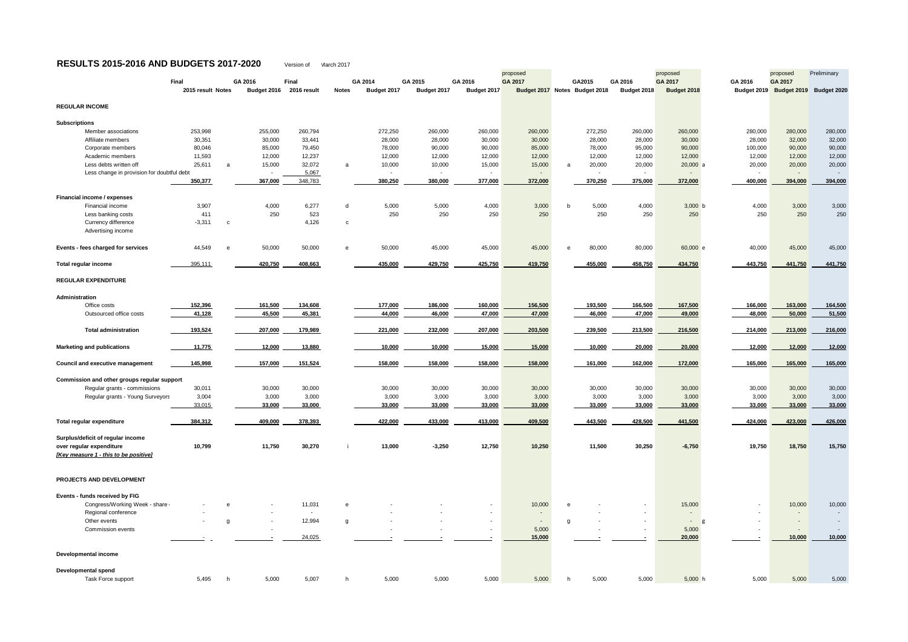## **RESULTS 2015-2016 AND BUDGETS 2017-2020** Version of March 2017

| $\frac{1}{2}$                                                     |                            |                        |                             |              |                        |                        |                        |                                                 |              |         |                          |                        |                        |                                      |             |
|-------------------------------------------------------------------|----------------------------|------------------------|-----------------------------|--------------|------------------------|------------------------|------------------------|-------------------------------------------------|--------------|---------|--------------------------|------------------------|------------------------|--------------------------------------|-------------|
|                                                                   |                            |                        |                             |              |                        |                        |                        | proposed                                        |              |         |                          | proposed               |                        | proposed                             | Preliminary |
|                                                                   | Final<br>2015 result Notes | GA 2016<br>Budget 2016 | <b>Final</b><br>2016 result | <b>Notes</b> | GA 2014<br>Budget 2017 | GA 2015<br>Budget 2017 | GA 2016<br>Budget 2017 | <b>GA 2017</b><br>Budget 2017 Notes Budget 2018 |              | GA2015  | GA 2016<br>Budget 2018   | GA 2017<br>Budget 2018 | GA 2016<br>Budget 2019 | <b>GA 2017</b><br><b>Budget 2019</b> | Budget 2020 |
|                                                                   |                            |                        |                             |              |                        |                        |                        |                                                 |              |         |                          |                        |                        |                                      |             |
| <b>REGULAR INCOME</b>                                             |                            |                        |                             |              |                        |                        |                        |                                                 |              |         |                          |                        |                        |                                      |             |
| <b>Subscriptions</b>                                              |                            |                        |                             |              |                        |                        |                        |                                                 |              |         |                          |                        |                        |                                      |             |
| Member associations                                               | 253,998                    | 255,000                | 260,794                     |              | 272,250                | 260,000                | 260,000                | 260,000                                         |              | 272,250 | 260,000                  | 260,000                | 280,000                | 280,000                              | 280,000     |
| Affiliate members                                                 | 30,351                     | 30,000                 | 33,441                      |              | 28,000                 | 28,000                 | 30,000                 | 30,000                                          |              | 28,000  | 28,000                   | 30,000                 | 28,000                 | 32,000                               | 32,000      |
| Corporate members                                                 | 80,046                     | 85,000                 | 79,450                      |              | 78,000                 | 90,000                 | 90,000                 | 85,000                                          |              | 78,000  | 95,000                   | 90,000                 | 100,000                | 90,000                               | 90,000      |
| Academic members                                                  | 11,593                     | 12,000                 | 12,237                      |              | 12,000                 | 12,000                 | 12,000                 | 12,000                                          |              | 12,000  | 12,000                   | 12,000                 | 12,000                 | 12,000                               | 12,000      |
| Less debts written off                                            | 25,611                     | 15,000<br>a            | 32,072                      | a            | 10,000                 | 10,000                 | 15,000                 | 15,000                                          | a            | 20,000  | 20,000                   | $20,000$ a             | 20,000                 | 20,000                               | 20,000      |
| Less change in provision for doubtful debt                        |                            | $\sim$                 | 5,067                       |              |                        | $\sim$                 | $\sim$                 | $\sim$                                          |              | $\sim$  | $\overline{\phantom{a}}$ |                        | $\sim$                 | $\sim$                               |             |
|                                                                   | 350,377                    | 367,000                | 348,783                     |              | 380,250                | 380,000                | 377,000                | 372,000                                         |              | 370,250 | 375,000                  | 372,000                | 400,000                | 394,000                              | 394,000     |
|                                                                   |                            |                        |                             |              |                        |                        |                        |                                                 |              |         |                          |                        |                        |                                      |             |
| <b>Financial income / expenses</b>                                |                            |                        |                             |              |                        |                        |                        |                                                 |              |         |                          |                        |                        |                                      |             |
| Financial income                                                  | 3,907                      | 4,000                  | 6,277                       | d            | 5,000                  | 5,000                  | 4,000                  | 3,000                                           | $\mathsf{b}$ | 5,000   | 4,000                    | 3,000 b                | 4,000                  | 3,000                                | 3,000       |
| Less banking costs                                                | 411                        | 250                    | 523                         |              | 250                    | 250                    | 250                    | 250                                             |              | 250     | 250                      | 250                    | 250                    | 250                                  | 250         |
| Currency difference                                               | $-3,311$                   | C.                     | 4,126                       | C            |                        |                        |                        |                                                 |              |         |                          |                        |                        |                                      |             |
| Advertising income                                                |                            |                        |                             |              |                        |                        |                        |                                                 |              |         |                          |                        |                        |                                      |             |
| Events - fees charged for services                                | 44,549                     | 50,000<br>e            | 50,000                      | $\mathbf{e}$ | 50,000                 | 45,000                 | 45,000                 | 45,000                                          | $\mathbf{e}$ | 80,000  | 80,000                   | 60,000 e               | 40,000                 | 45,000                               | 45,000      |
| <b>Total regular income</b>                                       | 395,111                    | 420,750                | 408,663                     |              | 435,000                | 429,750                | 425,750                | 419,750                                         |              | 455,000 | 458,750                  | 434,750                | 443,750                | 441,750                              | 441,750     |
| <b>REGULAR EXPENDITURE</b>                                        |                            |                        |                             |              |                        |                        |                        |                                                 |              |         |                          |                        |                        |                                      |             |
|                                                                   |                            |                        |                             |              |                        |                        |                        |                                                 |              |         |                          |                        |                        |                                      |             |
| Administration                                                    |                            |                        |                             |              |                        |                        |                        |                                                 |              |         |                          |                        |                        |                                      |             |
| Office costs                                                      | 152,396                    | 161,500                | 134,608                     |              | 177,000                | 186,000                | 160,000                | 156,500                                         |              | 193,500 | 166,500                  | 167,500                | 166,000                | 163,000                              | 164,500     |
| Outsourced office costs                                           | 41,128                     | 45,500                 | 45,381                      |              | 44,000                 | 46,000                 | 47,000                 | 47,000                                          |              | 46,000  | 47,000                   | 49,000                 | 48,000                 | 50,000                               | 51,500      |
| <b>Total administration</b>                                       | 193,524                    | 207,000                | 179,989                     |              | 221,000                | 232,000                | 207,000                | 203,500                                         |              | 239,500 | 213,500                  | 216,500                | 214,000                | 213,000                              | 216,000     |
| <b>Marketing and publications</b>                                 | 11,775                     | 12,000                 | 13,880                      |              | 10,000                 | 10,000                 | 15,000                 | 15,000                                          |              | 10,000  | 20,000                   | 20,000                 | 12,000                 | 12,000                               | 12,000      |
|                                                                   |                            |                        |                             |              |                        |                        |                        |                                                 |              |         |                          |                        |                        |                                      |             |
| <b>Council and executive management</b>                           | 145,998                    | 157,000                | 151,524                     |              | 158,000                | 158,000                | 158,000                | 158,000                                         |              | 161,000 | 162,000                  | 172,000                | 165,000                | 165,000                              | 165,000     |
| Commission and other groups regular support                       |                            |                        |                             |              |                        |                        |                        |                                                 |              |         |                          |                        |                        |                                      |             |
| Regular grants - commissions                                      | 30,011                     | 30,000                 | 30,000                      |              | 30,000                 | 30,000                 | 30,000                 | 30,000                                          |              | 30,000  | 30,000                   | 30,000                 | 30,000                 | 30,000                               | 30,000      |
| Regular grants - Young Surveyors                                  | 3,004                      | 3,000                  | 3,000                       |              | 3,000                  | 3,000                  | 3,000                  | 3,000                                           |              | 3,000   | 3,000                    | 3,000                  | 3,000                  | 3,000                                | 3,000       |
|                                                                   | 33,015                     | 33,000                 | 33,000                      |              | 33,000                 | 33,000                 | 33,000                 | 33,000                                          |              | 33,000  | 33,000                   | 33,000                 | 33,000                 | 33,000                               | 33,000      |
| <b>Total regular expenditure</b>                                  | 384,312                    | 409,000                | 378,393                     |              | 422,000                | 433,000                | 413,000                | 409,500                                         |              | 443,500 | 428,500                  | 441,500                | 424,000                | 423,000                              | 426,000     |
|                                                                   |                            |                        |                             |              |                        |                        |                        |                                                 |              |         |                          |                        |                        |                                      |             |
| Surplus/deficit of regular income                                 |                            |                        |                             |              |                        |                        |                        |                                                 |              |         |                          |                        |                        |                                      |             |
| over regular expenditure<br>[Key measure 1 - this to be positive] | 10,799                     | 11,750                 | 30,270                      |              | 13,000                 | $-3,250$               | 12,750                 | 10,250                                          |              | 11,500  | 30,250                   | $-6,750$               | 19,750                 | 18,750                               | 15,750      |
|                                                                   |                            |                        |                             |              |                        |                        |                        |                                                 |              |         |                          |                        |                        |                                      |             |
| PROJECTS AND DEVELOPMENT                                          |                            |                        |                             |              |                        |                        |                        |                                                 |              |         |                          |                        |                        |                                      |             |
| Events - funds received by FIG                                    |                            |                        |                             |              |                        |                        |                        |                                                 |              |         |                          |                        |                        |                                      |             |
| Congress/Working Week - share                                     |                            | e<br>$\sim$            | 11,031                      | e            |                        |                        | $\sim$                 | 10,000                                          | e            |         | $\sim$                   | 15,000                 | $\sim$                 | 10,000                               | 10,000      |
| Regional conference                                               |                            |                        |                             |              |                        |                        |                        | $\sim$                                          |              |         |                          | $\sim$                 |                        |                                      |             |
| Other events                                                      |                            | g<br>$\sim$            | 12,994                      | g            |                        |                        | $\sim$                 | $\sim$                                          | g            | $\sim$  | $\sim$                   | $\sim$ 100 $\pm$       | $\sim$                 |                                      |             |
| Commission events                                                 |                            |                        |                             |              |                        |                        |                        | 5,000                                           |              |         |                          | 5,000                  |                        |                                      |             |
|                                                                   |                            |                        | 24,025                      |              |                        |                        |                        | 15,000                                          |              |         |                          | 20,000                 |                        | 10,000                               | 10,000      |
| <b>Developmental income</b>                                       |                            |                        |                             |              |                        |                        |                        |                                                 |              |         |                          |                        |                        |                                      |             |
| <b>Developmental spend</b>                                        |                            |                        |                             |              |                        |                        |                        |                                                 |              |         |                          |                        |                        |                                      |             |
| Task Force support                                                | 5,495                      | 5,000<br>h.            | 5,007                       |              | 5,000                  | 5,000                  | 5,000                  | 5,000                                           | h -          | 5,000   | 5,000                    | 5,000 h                | 5,000                  | 5,000                                | 5,000       |
|                                                                   |                            |                        |                             |              |                        |                        |                        |                                                 |              |         |                          |                        |                        |                                      |             |